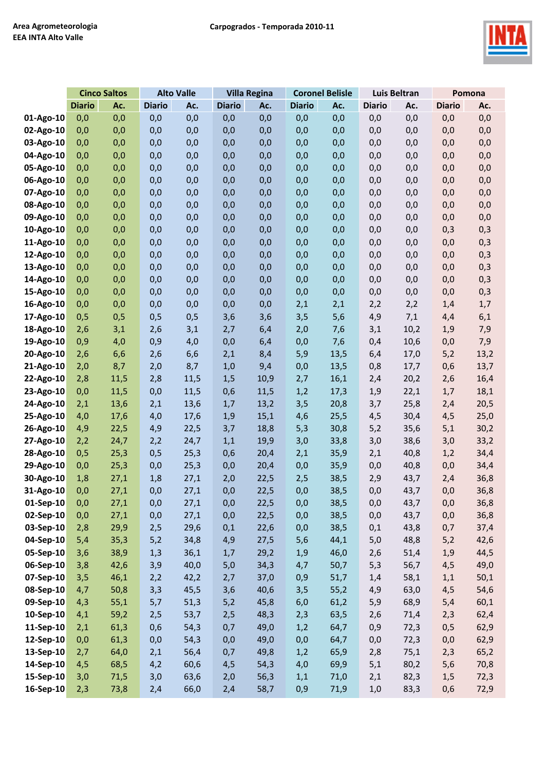

|           | <b>Cinco Saltos</b> |      | <b>Alto Valle</b> |      | <b>Villa Regina</b> |      | <b>Coronel Belisle</b> |      | <b>Luis Beltran</b> |      | Pomona        |      |
|-----------|---------------------|------|-------------------|------|---------------------|------|------------------------|------|---------------------|------|---------------|------|
|           | <b>Diario</b>       | Ac.  | <b>Diario</b>     | Ac.  | <b>Diario</b>       | Ac.  | <b>Diario</b>          | Ac.  | <b>Diario</b>       | Ac.  | <b>Diario</b> | Ac.  |
| 01-Ago-10 | 0,0                 | 0,0  | 0,0               | 0,0  | 0,0                 | 0,0  | 0,0                    | 0,0  | 0,0                 | 0,0  | 0,0           | 0,0  |
| 02-Ago-10 | 0,0                 | 0,0  | 0,0               | 0,0  | 0,0                 | 0,0  | 0,0                    | 0,0  | 0,0                 | 0,0  | 0,0           | 0,0  |
| 03-Ago-10 | 0,0                 | 0,0  | 0,0               | 0,0  | 0,0                 | 0,0  | 0,0                    | 0,0  | 0,0                 | 0,0  | 0,0           | 0,0  |
| 04-Ago-10 | 0,0                 | 0,0  | 0,0               | 0,0  | 0,0                 | 0,0  | 0,0                    | 0,0  | 0,0                 | 0,0  | 0,0           | 0,0  |
| 05-Ago-10 | 0,0                 | 0,0  | 0,0               | 0,0  | 0,0                 | 0,0  | 0,0                    | 0,0  | 0,0                 | 0,0  | 0,0           | 0,0  |
| 06-Ago-10 | 0,0                 | 0,0  | 0,0               | 0,0  | 0,0                 | 0,0  | 0,0                    | 0,0  | 0,0                 | 0,0  | 0,0           | 0,0  |
| 07-Ago-10 | 0,0                 | 0,0  | 0,0               | 0,0  | 0,0                 | 0,0  | 0,0                    | 0,0  | 0,0                 | 0,0  | 0,0           | 0,0  |
| 08-Ago-10 | 0,0                 | 0,0  | 0,0               | 0,0  | 0,0                 | 0,0  | 0,0                    | 0,0  | 0,0                 | 0,0  | 0,0           | 0,0  |
| 09-Ago-10 | 0,0                 | 0,0  | 0,0               | 0,0  | 0,0                 | 0,0  | 0,0                    | 0,0  | 0,0                 | 0,0  | 0,0           | 0,0  |
| 10-Ago-10 | 0,0                 | 0,0  | 0,0               | 0,0  | 0,0                 | 0,0  | 0,0                    | 0,0  | 0,0                 | 0,0  | 0,3           | 0,3  |
| 11-Ago-10 | 0,0                 | 0,0  | 0,0               | 0,0  | 0,0                 | 0,0  | 0,0                    | 0,0  | 0,0                 | 0,0  | 0,0           | 0,3  |
| 12-Ago-10 | 0,0                 | 0,0  | 0,0               | 0,0  | 0,0                 | 0,0  | 0,0                    | 0,0  | 0,0                 | 0,0  | 0,0           | 0,3  |
| 13-Ago-10 | 0,0                 | 0,0  | 0,0               | 0,0  | 0,0                 | 0,0  | 0,0                    | 0,0  | 0,0                 | 0,0  | 0,0           | 0,3  |
| 14-Ago-10 | 0,0                 | 0,0  | 0,0               | 0,0  | 0,0                 | 0,0  | 0,0                    | 0,0  | 0,0                 | 0,0  | 0,0           | 0,3  |
| 15-Ago-10 | 0,0                 | 0,0  | 0,0               | 0,0  | 0,0                 | 0,0  | 0,0                    | 0,0  | 0,0                 | 0,0  | 0,0           | 0,3  |
| 16-Ago-10 | 0,0                 | 0,0  | 0,0               | 0,0  | 0,0                 | 0,0  | 2,1                    | 2,1  | 2,2                 | 2,2  | 1,4           | 1,7  |
| 17-Ago-10 | 0,5                 | 0,5  | 0,5               | 0,5  | 3,6                 | 3,6  | 3,5                    | 5,6  | 4,9                 | 7,1  | 4,4           | 6,1  |
| 18-Ago-10 | 2,6                 | 3,1  | 2,6               | 3,1  | 2,7                 | 6,4  | 2,0                    | 7,6  | 3,1                 | 10,2 | 1,9           | 7,9  |
| 19-Ago-10 | 0,9                 | 4,0  | 0,9               | 4,0  | 0,0                 | 6,4  | 0,0                    | 7,6  | 0,4                 | 10,6 | 0,0           | 7,9  |
| 20-Ago-10 | 2,6                 | 6,6  | 2,6               | 6,6  | 2,1                 | 8,4  | 5,9                    | 13,5 | 6,4                 | 17,0 | 5,2           | 13,2 |
| 21-Ago-10 | 2,0                 | 8,7  | 2,0               | 8,7  | 1,0                 | 9,4  | 0,0                    | 13,5 | 0,8                 | 17,7 | 0,6           | 13,7 |
| 22-Ago-10 | 2,8                 | 11,5 | 2,8               | 11,5 | 1,5                 | 10,9 | 2,7                    | 16,1 | 2,4                 | 20,2 | 2,6           | 16,4 |
| 23-Ago-10 | 0,0                 | 11,5 | 0,0               | 11,5 | 0,6                 | 11,5 | 1,2                    | 17,3 | 1,9                 | 22,1 | 1,7           | 18,1 |
| 24-Ago-10 | 2,1                 | 13,6 | 2,1               | 13,6 | 1,7                 | 13,2 | 3,5                    | 20,8 | 3,7                 | 25,8 | 2,4           | 20,5 |
| 25-Ago-10 | 4,0                 | 17,6 | 4,0               | 17,6 | 1,9                 | 15,1 | 4,6                    | 25,5 | 4,5                 | 30,4 | 4,5           | 25,0 |
| 26-Ago-10 | 4,9                 | 22,5 | 4,9               | 22,5 | 3,7                 | 18,8 | 5,3                    | 30,8 | 5,2                 | 35,6 | 5,1           | 30,2 |
| 27-Ago-10 | 2,2                 | 24,7 | 2,2               | 24,7 | 1,1                 | 19,9 | 3,0                    | 33,8 | 3,0                 | 38,6 | 3,0           | 33,2 |
| 28-Ago-10 | 0,5                 | 25,3 | 0,5               | 25,3 | 0,6                 | 20,4 | 2,1                    | 35,9 | 2,1                 | 40,8 | 1,2           | 34,4 |
| 29-Ago-10 | 0,0                 | 25,3 | 0,0               | 25,3 | 0,0                 | 20,4 | 0,0                    | 35,9 | 0,0                 | 40,8 | 0,0           | 34,4 |
| 30-Ago-10 | 1,8                 | 27,1 | 1,8               | 27,1 | 2,0                 | 22,5 | 2,5                    | 38,5 | 2,9                 | 43,7 | 2,4           | 36,8 |
| 31-Ago-10 | 0,0                 | 27,1 | 0,0               | 27,1 | 0,0                 | 22,5 | 0,0                    | 38,5 | 0,0                 | 43,7 | 0,0           | 36,8 |
| 01-Sep-10 | 0,0                 | 27,1 | 0,0               | 27,1 | 0,0                 | 22,5 | 0,0                    | 38,5 | 0,0                 | 43,7 | 0,0           | 36,8 |
| 02-Sep-10 | 0,0                 | 27,1 | 0,0               | 27,1 | 0,0                 | 22,5 | 0,0                    | 38,5 | 0,0                 | 43,7 | 0,0           | 36,8 |
| 03-Sep-10 | 2,8                 | 29,9 | 2,5               | 29,6 | 0,1                 | 22,6 | 0,0                    | 38,5 | 0,1                 | 43,8 | 0,7           | 37,4 |
| 04-Sep-10 | 5,4                 | 35,3 | 5,2               | 34,8 | 4,9                 | 27,5 | 5,6                    | 44,1 | 5,0                 | 48,8 | 5,2           | 42,6 |
| 05-Sep-10 | 3,6                 | 38,9 | 1,3               | 36,1 | 1,7                 | 29,2 | 1,9                    | 46,0 | 2,6                 | 51,4 | 1,9           | 44,5 |
| 06-Sep-10 | 3,8                 | 42,6 | 3,9               | 40,0 | 5,0                 | 34,3 | 4,7                    | 50,7 | 5,3                 | 56,7 | 4,5           | 49,0 |
| 07-Sep-10 | 3,5                 | 46,1 | 2,2               | 42,2 | 2,7                 | 37,0 | 0,9                    | 51,7 | 1,4                 | 58,1 | 1,1           | 50,1 |
| 08-Sep-10 | 4,7                 | 50,8 | 3,3               | 45,5 | 3,6                 | 40,6 | 3,5                    | 55,2 | 4,9                 | 63,0 | 4,5           | 54,6 |
| 09-Sep-10 | 4,3                 | 55,1 | 5,7               | 51,3 | 5,2                 | 45,8 | 6,0                    | 61,2 | 5,9                 | 68,9 | 5,4           | 60,1 |
| 10-Sep-10 | 4,1                 | 59,2 | 2,5               | 53,7 | 2,5                 | 48,3 | 2,3                    | 63,5 | 2,6                 | 71,4 | 2,3           | 62,4 |
| 11-Sep-10 | 2,1                 | 61,3 | 0,6               | 54,3 | 0,7                 | 49,0 | 1,2                    | 64,7 | 0,9                 | 72,3 | 0,5           | 62,9 |
| 12-Sep-10 | 0,0                 | 61,3 | 0,0               | 54,3 | 0,0                 | 49,0 | 0,0                    | 64,7 | 0,0                 | 72,3 | 0,0           | 62,9 |
| 13-Sep-10 | 2,7                 | 64,0 | 2,1               | 56,4 | 0,7                 | 49,8 | 1,2                    | 65,9 | 2,8                 | 75,1 | 2,3           | 65,2 |
| 14-Sep-10 | 4,5                 | 68,5 | 4,2               | 60,6 | 4,5                 | 54,3 | 4,0                    | 69,9 | 5,1                 | 80,2 | 5,6           | 70,8 |
| 15-Sep-10 | 3,0                 | 71,5 | 3,0               | 63,6 | 2,0                 | 56,3 | 1,1                    | 71,0 | 2,1                 | 82,3 | 1,5           | 72,3 |
| 16-Sep-10 | 2,3                 | 73,8 | 2,4               | 66,0 | 2,4                 | 58,7 | 0,9                    | 71,9 | 1,0                 | 83,3 | 0,6           | 72,9 |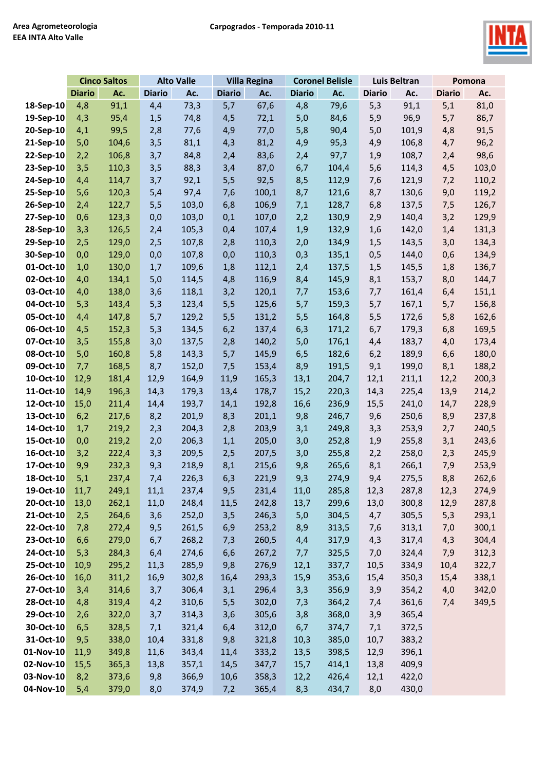

|           | <b>Cinco Saltos</b> |       | <b>Alto Valle</b> |       | <b>Villa Regina</b> |       | <b>Coronel Belisle</b> |       | Luis Beltran  |       | Pomona        |       |
|-----------|---------------------|-------|-------------------|-------|---------------------|-------|------------------------|-------|---------------|-------|---------------|-------|
|           | <b>Diario</b>       | Ac.   | <b>Diario</b>     | Ac.   | <b>Diario</b>       | Ac.   | <b>Diario</b>          | Ac.   | <b>Diario</b> | Ac.   | <b>Diario</b> | Ac.   |
| 18-Sep-10 | 4,8                 | 91,1  | 4,4               | 73,3  | 5,7                 | 67,6  | 4,8                    | 79,6  | 5,3           | 91,1  | 5,1           | 81,0  |
| 19-Sep-10 | 4,3                 | 95,4  | 1,5               | 74,8  | 4,5                 | 72,1  | 5,0                    | 84,6  | 5,9           | 96,9  | 5,7           | 86,7  |
| 20-Sep-10 | 4,1                 | 99,5  | 2,8               | 77,6  | 4,9                 | 77,0  | 5,8                    | 90,4  | 5,0           | 101,9 | 4,8           | 91,5  |
| 21-Sep-10 | 5,0                 | 104,6 | 3,5               | 81,1  | 4,3                 | 81,2  | 4,9                    | 95,3  | 4,9           | 106,8 | 4,7           | 96,2  |
| 22-Sep-10 | 2,2                 | 106,8 | 3,7               | 84,8  | 2,4                 | 83,6  | 2,4                    | 97,7  | 1,9           | 108,7 | 2,4           | 98,6  |
| 23-Sep-10 | 3,5                 | 110,3 | 3,5               | 88,3  | 3,4                 | 87,0  | 6,7                    | 104,4 | 5,6           | 114,3 | 4,5           | 103,0 |
| 24-Sep-10 | 4,4                 | 114,7 | 3,7               | 92,1  | 5,5                 | 92,5  | 8,5                    | 112,9 | 7,6           | 121,9 | 7,2           | 110,2 |
| 25-Sep-10 | 5,6                 | 120,3 | 5,4               | 97,4  | 7,6                 | 100,1 | 8,7                    | 121,6 | 8,7           | 130,6 | 9,0           | 119,2 |
| 26-Sep-10 | 2,4                 | 122,7 | 5,5               | 103,0 | 6,8                 | 106,9 | 7,1                    | 128,7 | 6,8           | 137,5 | 7,5           | 126,7 |
| 27-Sep-10 | 0,6                 | 123,3 | 0,0               | 103,0 | 0,1                 | 107,0 | 2,2                    | 130,9 | 2,9           | 140,4 | 3,2           | 129,9 |
| 28-Sep-10 | 3,3                 | 126,5 | 2,4               | 105,3 | 0,4                 | 107,4 | 1,9                    | 132,9 | 1,6           | 142,0 | 1,4           | 131,3 |
| 29-Sep-10 | 2,5                 | 129,0 | 2,5               | 107,8 | 2,8                 | 110,3 | 2,0                    | 134,9 | 1,5           | 143,5 | 3,0           | 134,3 |
| 30-Sep-10 | 0,0                 | 129,0 | 0,0               | 107,8 | 0,0                 | 110,3 | 0,3                    | 135,1 | 0,5           | 144,0 | 0,6           | 134,9 |
| 01-Oct-10 | 1,0                 | 130,0 | 1,7               | 109,6 | 1,8                 | 112,1 | 2,4                    | 137,5 | 1,5           | 145,5 | 1,8           | 136,7 |
| 02-Oct-10 | 4,0                 | 134,1 | 5,0               | 114,5 | 4,8                 | 116,9 | 8,4                    | 145,9 | 8,1           | 153,7 | 8,0           | 144,7 |
| 03-Oct-10 | 4,0                 | 138,0 | 3,6               | 118,1 | 3,2                 | 120,1 | 7,7                    | 153,6 | 7,7           | 161,4 | 6,4           | 151,1 |
| 04-Oct-10 | 5,3                 | 143,4 | 5,3               | 123,4 | 5,5                 | 125,6 | 5,7                    | 159,3 | 5,7           | 167,1 | 5,7           | 156,8 |
| 05-Oct-10 | 4,4                 | 147,8 | 5,7               | 129,2 | $5,5$               | 131,2 | 5,5                    | 164,8 | 5,5           | 172,6 | 5,8           | 162,6 |
| 06-Oct-10 | 4,5                 | 152,3 | 5,3               | 134,5 | 6,2                 | 137,4 | 6,3                    | 171,2 | 6,7           | 179,3 | 6,8           | 169,5 |
| 07-Oct-10 | 3,5                 | 155,8 | 3,0               | 137,5 | 2,8                 | 140,2 | 5,0                    | 176,1 | 4,4           | 183,7 | 4,0           | 173,4 |
| 08-Oct-10 | 5,0                 | 160,8 | 5,8               | 143,3 | 5,7                 | 145,9 | 6,5                    | 182,6 | 6,2           | 189,9 | 6,6           | 180,0 |
| 09-Oct-10 | 7,7                 | 168,5 | 8,7               | 152,0 | 7,5                 | 153,4 | 8,9                    | 191,5 | 9,1           | 199,0 | 8,1           | 188,2 |
| 10-Oct-10 | 12,9                | 181,4 | 12,9              | 164,9 | 11,9                | 165,3 | 13,1                   | 204,7 | 12,1          | 211,1 | 12,2          | 200,3 |
| 11-Oct-10 | 14,9                | 196,3 | 14,3              | 179,3 | 13,4                | 178,7 | 15,2                   | 220,3 | 14,3          | 225,4 | 13,9          | 214,2 |
| 12-Oct-10 | 15,0                | 211,4 | 14,4              | 193,7 | 14,1                | 192,8 | 16,6                   | 236,9 | 15,5          | 241,0 | 14,7          | 228,9 |
| 13-Oct-10 | 6,2                 | 217,6 | 8,2               | 201,9 | 8,3                 | 201,1 | 9,8                    | 246,7 | 9,6           | 250,6 | 8,9           | 237,8 |
| 14-Oct-10 | 1,7                 | 219,2 | 2,3               | 204,3 | 2,8                 | 203,9 | 3,1                    | 249,8 | 3,3           | 253,9 | 2,7           | 240,5 |
| 15-Oct-10 | 0,0                 | 219,2 | 2,0               | 206,3 | 1,1                 | 205,0 | 3,0                    | 252,8 | 1,9           | 255,8 | 3,1           | 243,6 |
| 16-Oct-10 | 3,2                 | 222,4 | 3,3               | 209,5 | 2,5                 | 207,5 | 3,0                    | 255,8 | 2,2           | 258,0 | 2,3           | 245,9 |
| 17-Oct-10 | 9,9                 | 232,3 | 9,3               | 218,9 | 8,1                 | 215,6 | 9,8                    | 265,6 | 8,1           | 266,1 | 7,9           | 253,9 |
| 18-Oct-10 | 5,1                 | 237,4 | 7,4               | 226,3 | 6,3                 | 221,9 | 9,3                    | 274,9 | 9,4           | 275,5 | 8,8           | 262,6 |
| 19-Oct-10 | 11,7                | 249,1 | 11,1              | 237,4 | 9,5                 | 231,4 | 11,0                   | 285,8 | 12,3          | 287,8 | 12,3          | 274,9 |
| 20-Oct-10 | 13,0                | 262,1 | 11,0              | 248,4 | 11,5                | 242,8 | 13,7                   | 299,6 | 13,0          | 300,8 | 12,9          | 287,8 |
| 21-Oct-10 | 2,5                 | 264,6 | 3,6               | 252,0 | 3,5                 | 246,3 | 5,0                    | 304,5 | 4,7           | 305,5 | 5,3           | 293,1 |
| 22-Oct-10 | 7,8                 | 272,4 | 9,5               | 261,5 | 6,9                 | 253,2 | 8,9                    | 313,5 | 7,6           | 313,1 | 7,0           | 300,1 |
| 23-Oct-10 | 6,6                 | 279,0 | 6,7               | 268,2 | 7,3                 | 260,5 | 4,4                    | 317,9 | 4,3           | 317,4 | 4,3           | 304,4 |
| 24-Oct-10 | 5,3                 | 284,3 | 6,4               | 274,6 | 6,6                 | 267,2 | 7,7                    | 325,5 | 7,0           | 324,4 | 7,9           | 312,3 |
| 25-Oct-10 | 10,9                | 295,2 | 11,3              | 285,9 | 9,8                 | 276,9 | 12,1                   | 337,7 | 10,5          | 334,9 | 10,4          | 322,7 |
| 26-Oct-10 | 16,0                | 311,2 | 16,9              | 302,8 | 16,4                | 293,3 | 15,9                   | 353,6 | 15,4          | 350,3 | 15,4          | 338,1 |
| 27-Oct-10 | 3,4                 | 314,6 | 3,7               | 306,4 | 3,1                 | 296,4 | 3,3                    | 356,9 | 3,9           | 354,2 | 4,0           | 342,0 |
| 28-Oct-10 | 4,8                 | 319,4 | 4,2               | 310,6 | 5,5                 | 302,0 | 7,3                    | 364,2 | 7,4           | 361,6 | 7,4           | 349,5 |
| 29-Oct-10 | 2,6                 | 322,0 | 3,7               | 314,3 | 3,6                 | 305,6 | 3,8                    | 368,0 | 3,9           | 365,4 |               |       |
| 30-Oct-10 | 6, 5                | 328,5 | 7,1               | 321,4 | 6,4                 | 312,0 | 6,7                    | 374,7 | 7,1           | 372,5 |               |       |
| 31-Oct-10 | 9,5                 | 338,0 | 10,4              | 331,8 | 9,8                 | 321,8 | 10,3                   | 385,0 | 10,7          | 383,2 |               |       |
| 01-Nov-10 | 11,9                | 349,8 | 11,6              | 343,4 | 11,4                | 333,2 | 13,5                   | 398,5 | 12,9          | 396,1 |               |       |
| 02-Nov-10 | 15,5                | 365,3 | 13,8              | 357,1 | 14,5                | 347,7 | 15,7                   | 414,1 | 13,8          | 409,9 |               |       |
| 03-Nov-10 | 8,2                 | 373,6 | 9,8               | 366,9 | 10,6                | 358,3 | 12,2                   | 426,4 | 12,1          | 422,0 |               |       |
| 04-Nov-10 | 5,4                 | 379,0 | 8,0               | 374,9 | 7,2                 | 365,4 | 8,3                    | 434,7 | 8,0           | 430,0 |               |       |
|           |                     |       |                   |       |                     |       |                        |       |               |       |               |       |